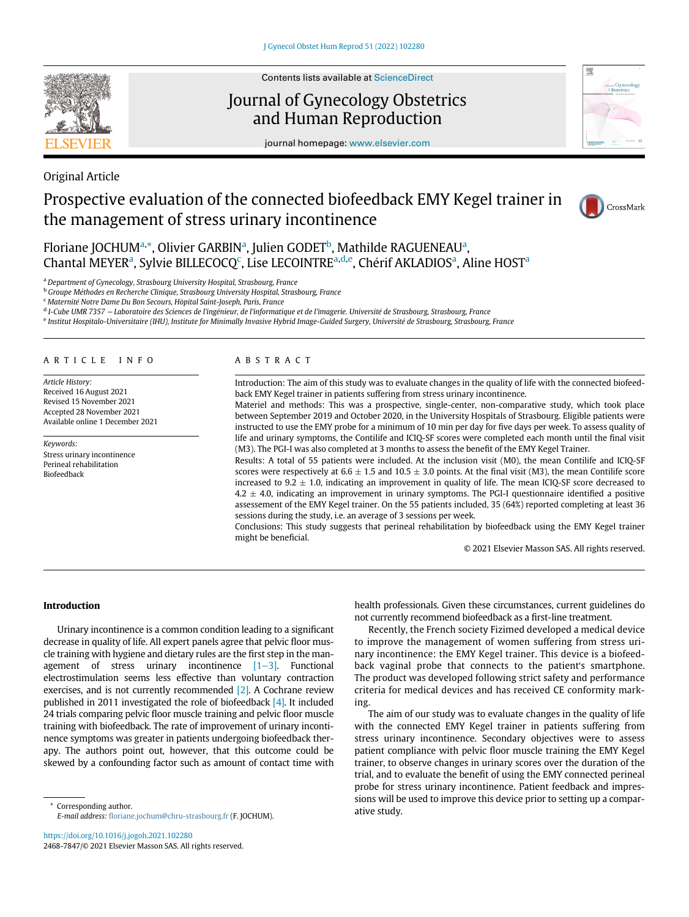

Contents lists available at ScienceDirect

# Journal of Gynecology Obstetrics and Human Reproduction



journal homepage: [www.elsevier.com](http://www.elsevier.com)

# Original Article Prospective evaluation of the connected biofeedback EMY Kegel trainer in

the management of stress urinary incontinence



Flori[a](#page-0-0)ne JOCHUM<sup>a,</sup>[\\*](#page-0-1), Olivier GARBIN<sup>a</sup>, Julien GODET<sup>b</sup>, Mathilde RAGUENEAU<sup>a</sup>, Ch[a](#page-0-0)ntal MEYER<sup>a</sup>, Sylvie BILLECOCQ<sup>[c](#page-0-3)</sup>, Lise LECOINTRE<sup>[a,](#page-0-0)[d](#page-0-4),[e](#page-0-5)</sup>, Chérif AKLADIOS<sup>a</sup>, Aline HOST<sup>a</sup>

<span id="page-0-0"></span><sup>a</sup> Department of Gynecology, Strasbourg University Hospital, Strasbourg, France

<span id="page-0-2"></span>**b Groupe Méthodes en Recherche Clinique, Strasbourg University Hospital, Strasbourg, France** 

<span id="page-0-3"></span><sup>c</sup> Maternité Notre Dame Du Bon Secours, Hôpital Saint-Joseph, Paris, France

<span id="page-0-4"></span><sup>d</sup> I-Cube UMR 7357 – Laboratoire des Sciences de l'ingénieur, de l'informatique et de l'imagerie. Université de Strasbourg, Strasbourg, France

<span id="page-0-5"></span><sup>e</sup> Institut Hospitalo-Universitaire (IHU), Institute for Minimally Invasive Hybrid Image-Guided Surgery, Universite de Strasbourg, Strasbourg, France

#### ARTICLE INFO

Article History: Received 16 August 2021 Revised 15 November 2021 Accepted 28 November 2021 Available online 1 December 2021

Keywords: Stress urinary incontinence Perineal rehabilitation Biofeedback

#### ABSTRACT

Introduction: The aim of this study was to evaluate changes in the quality of life with the connected biofeedback EMY Kegel trainer in patients suffering from stress urinary incontinence.

Materiel and methods: This was a prospective, single-center, non-comparative study, which took place between September 2019 and October 2020, in the University Hospitals of Strasbourg. Eligible patients were instructed to use the EMY probe for a minimum of 10 min per day for five days per week. To assess quality of life and urinary symptoms, the Contilife and ICIQ-SF scores were completed each month until the final visit (M3). The PGI-I was also completed at 3 months to assess the benefit of the EMY Kegel Trainer.

Results: A total of 55 patients were included. At the inclusion visit (M0), the mean Contilife and ICIQ-SF scores were respectively at  $6.6 \pm 1.5$  and  $10.5 \pm 3.0$  points. At the final visit (M3), the mean Contilife score increased to 9.2  $\pm$  1.0, indicating an improvement in quality of life. The mean ICIQ-SF score decreased to  $4.2 \pm 4.0$ , indicating an improvement in urinary symptoms. The PGI-I questionnaire identified a positive assessement of the EMY Kegel trainer. On the 55 patients included, 35 (64%) reported completing at least 36 sessions during the study, i.e. an average of 3 sessions per week.

Conclusions: This study suggests that perineal rehabilitation by biofeedback using the EMY Kegel trainer might be beneficial.

© 2021 Elsevier Masson SAS. All rights reserved.

### Introduction

Urinary incontinence is a common condition leading to a significant decrease in quality of life. All expert panels agree that pelvic floor muscle training with hygiene and dietary rules are the first step in the management of stress urinary incontinence [\[1](#page-4-0)−3]. Functional electrostimulation seems less effective than voluntary contraction exercises, and is not currently recommended [\[2\].](#page-4-1) A Cochrane review published in 2011 investigated the role of biofeedback [\[4\].](#page-4-2) It included 24 trials comparing pelvic floor muscle training and pelvic floor muscle training with biofeedback. The rate of improvement of urinary incontinence symptoms was greater in patients undergoing biofeedback therapy. The authors point out, however, that this outcome could be skewed by a confounding factor such as amount of contact time with

<span id="page-0-1"></span>ative study. \* Corresponding author. E-mail address: fl[oriane.jochum@chru-strasbourg.fr](mailto:floriane.jochum@chru-strasbourg.fr) (F. JOCHUM).

<https://doi.org/10.1016/j.jogoh.2021.102280> 2468-7847/© 2021 Elsevier Masson SAS. All rights reserved. health professionals. Given these circumstances, current guidelines do not currently recommend biofeedback as a first-line treatment.

Recently, the French society Fizimed developed a medical device to improve the management of women suffering from stress urinary incontinence: the EMY Kegel trainer. This device is a biofeedback vaginal probe that connects to the patient's smartphone. The product was developed following strict safety and performance criteria for medical devices and has received CE conformity marking.

The aim of our study was to evaluate changes in the quality of life with the connected EMY Kegel trainer in patients suffering from stress urinary incontinence. Secondary objectives were to assess patient compliance with pelvic floor muscle training the EMY Kegel trainer, to observe changes in urinary scores over the duration of the trial, and to evaluate the benefit of using the EMY connected perineal probe for stress urinary incontinence. Patient feedback and impressions will be used to improve this device prior to setting up a compar-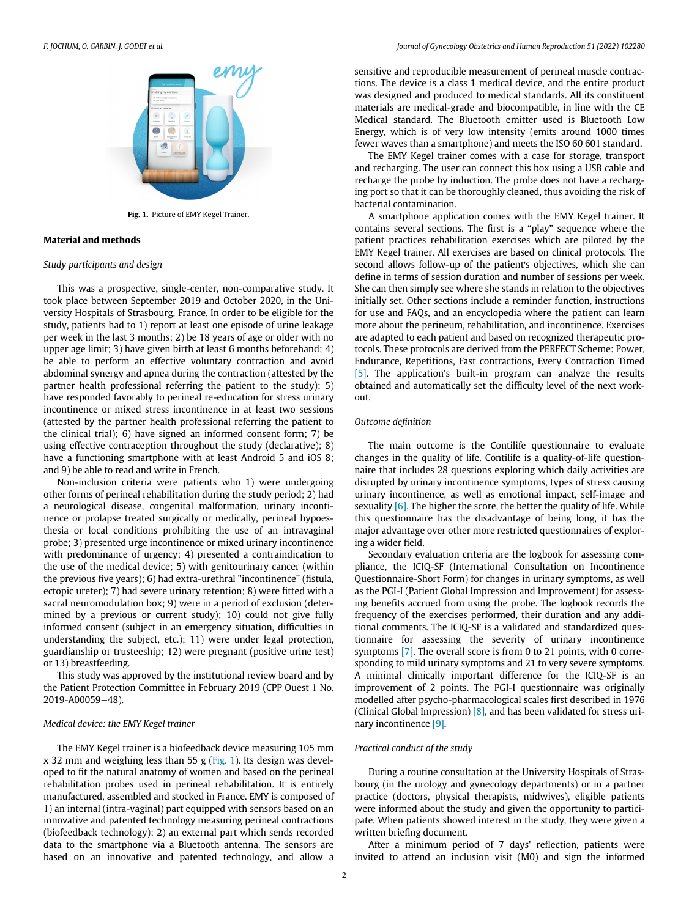<span id="page-1-0"></span>

Fig. 1. Picture of EMY Kegel Trainer.

# Material and methods

### Study participants and design

This was a prospective, single-center, non-comparative study. It took place between September 2019 and October 2020, in the University Hospitals of Strasbourg, France. In order to be eligible for the study, patients had to 1) report at least one episode of urine leakage per week in the last 3 months; 2) be 18 years of age or older with no upper age limit; 3) have given birth at least 6 months beforehand; 4) be able to perform an effective voluntary contraction and avoid abdominal synergy and apnea during the contraction (attested by the partner health professional referring the patient to the study); 5) have responded favorably to perineal re-education for stress urinary incontinence or mixed stress incontinence in at least two sessions (attested by the partner health professional referring the patient to the clinical trial); 6) have signed an informed consent form; 7) be using effective contraception throughout the study (declarative); 8) have a functioning smartphone with at least Android 5 and iOS 8; and 9) be able to read and write in French.

Non-inclusion criteria were patients who 1) were undergoing other forms of perineal rehabilitation during the study period; 2) had a neurological disease, congenital malformation, urinary incontinence or prolapse treated surgically or medically, perineal hypoesthesia or local conditions prohibiting the use of an intravaginal probe; 3) presented urge incontinence or mixed urinary incontinence with predominance of urgency; 4) presented a contraindication to the use of the medical device; 5) with genitourinary cancer (within the previous five years); 6) had extra-urethral "incontinence" (fistula, ectopic ureter); 7) had severe urinary retention; 8) were fitted with a sacral neuromodulation box; 9) were in a period of exclusion (determined by a previous or current study); 10) could not give fully informed consent (subject in an emergency situation, difficulties in understanding the subject, etc.); 11) were under legal protection, guardianship or trusteeship; 12) were pregnant (positive urine test) or 13) breastfeeding.

This study was approved by the institutional review board and by the Patient Protection Committee in February 2019 (CPP Ouest 1 No. 2019-A00059−48).

### Medical device: the EMY Kegel trainer

The EMY Kegel trainer is a biofeedback device measuring 105 mm  $x$  32 mm and weighing less than 55 g ([Fig. 1](#page-1-0)). Its design was developed to fit the natural anatomy of women and based on the perineal rehabilitation probes used in perineal rehabilitation. It is entirely manufactured, assembled and stocked in France. EMY is composed of 1) an internal (intra-vaginal) part equipped with sensors based on an innovative and patented technology measuring perineal contractions (biofeedback technology); 2) an external part which sends recorded data to the smartphone via a Bluetooth antenna. The sensors are based on an innovative and patented technology, and allow a

sensitive and reproducible measurement of perineal muscle contractions. The device is a class 1 medical device, and the entire product was designed and produced to medical standards. All its constituent materials are medical-grade and biocompatible, in line with the CE Medical standard. The Bluetooth emitter used is Bluetooth Low Energy, which is of very low intensity (emits around 1000 times fewer waves than a smartphone) and meets the ISO 60 601 standard.

The EMY Kegel trainer comes with a case for storage, transport and recharging. The user can connect this box using a USB cable and recharge the probe by induction. The probe does not have a recharging port so that it can be thoroughly cleaned, thus avoiding the risk of bacterial contamination.

A smartphone application comes with the EMY Kegel trainer. It contains several sections. The first is a "play" sequence where the patient practices rehabilitation exercises which are piloted by the EMY Kegel trainer. All exercises are based on clinical protocols. The second allows follow-up of the patient's objectives, which she can define in terms of session duration and number of sessions per week. She can then simply see where she stands in relation to the objectives initially set. Other sections include a reminder function, instructions for use and FAQs, and an encyclopedia where the patient can learn more about the perineum, rehabilitation, and incontinence. Exercises are adapted to each patient and based on recognized therapeutic protocols. These protocols are derived from the PERFECT Scheme: Power, Endurance, Repetitions, Fast contractions, Every Contraction Timed [\[5\].](#page-4-3) The application's built-in program can analyze the results obtained and automatically set the difficulty level of the next workout.

## Outcome definition

The main outcome is the Contilife questionnaire to evaluate changes in the quality of life. Contilife is a quality-of-life questionnaire that includes 28 questions exploring which daily activities are disrupted by urinary incontinence symptoms, types of stress causing urinary incontinence, as well as emotional impact, self-image and sexuality  $[6]$ . The higher the score, the better the quality of life. While this questionnaire has the disadvantage of being long, it has the major advantage over other more restricted questionnaires of exploring a wider field.

Secondary evaluation criteria are the logbook for assessing compliance, the ICIQ-SF (International Consultation on Incontinence Questionnaire-Short Form) for changes in urinary symptoms, as well as the PGI-I (Patient Global Impression and Improvement) for assessing benefits accrued from using the probe. The logbook records the frequency of the exercises performed, their duration and any additional comments. The ICIQ-SF is a validated and standardized questionnaire for assessing the severity of urinary incontinence symptoms [\[7\]](#page-4-5). The overall score is from 0 to 21 points, with 0 corresponding to mild urinary symptoms and 21 to very severe symptoms. A minimal clinically important difference for the ICIQ-SF is an improvement of 2 points. The PGI-I questionnaire was originally modelled after psycho-pharmacological scales first described in 1976 (Clinical Global Impression)  $[8]$ , and has been validated for stress urinary incontinence [\[9\]](#page-5-1).

## Practical conduct of the study

During a routine consultation at the University Hospitals of Strasbourg (in the urology and gynecology departments) or in a partner practice (doctors, physical therapists, midwives), eligible patients were informed about the study and given the opportunity to participate. When patients showed interest in the study, they were given a written briefing document.

After a minimum period of 7 days' reflection, patients were invited to attend an inclusion visit (M0) and sign the informed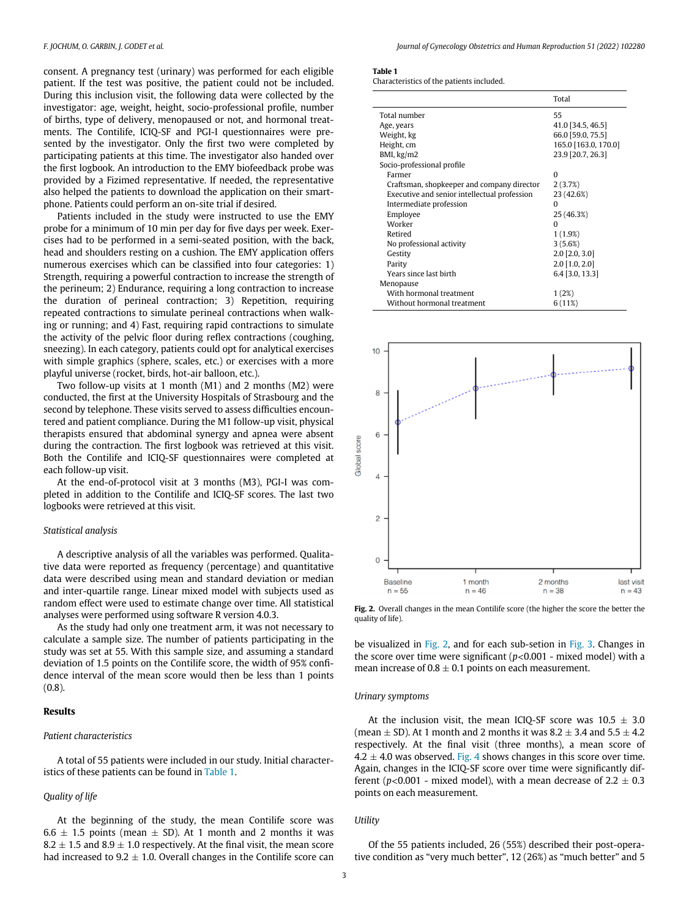<span id="page-2-0"></span>consent. A pregnancy test (urinary) was performed for each eligible patient. If the test was positive, the patient could not be included. During this inclusion visit, the following data were collected by the investigator: age, weight, height, socio-professional profile, number of births, type of delivery, menopaused or not, and hormonal treatments. The Contilife, ICIQ-SF and PGI-I questionnaires were presented by the investigator. Only the first two were completed by participating patients at this time. The investigator also handed over the first logbook. An introduction to the EMY biofeedback probe was provided by a Fizimed representative. If needed, the representative also helped the patients to download the application on their smartphone. Patients could perform an on-site trial if desired.

Patients included in the study were instructed to use the EMY probe for a minimum of 10 min per day for five days per week. Exercises had to be performed in a semi-seated position, with the back, head and shoulders resting on a cushion. The EMY application offers numerous exercises which can be classified into four categories: 1) Strength, requiring a powerful contraction to increase the strength of the perineum; 2) Endurance, requiring a long contraction to increase the duration of perineal contraction; 3) Repetition, requiring repeated contractions to simulate perineal contractions when walking or running; and 4) Fast, requiring rapid contractions to simulate the activity of the pelvic floor during reflex contractions (coughing, sneezing). In each category, patients could opt for analytical exercises with simple graphics (sphere, scales, etc.) or exercises with a more playful universe (rocket, birds, hot-air balloon, etc.).

<span id="page-2-1"></span>Two follow-up visits at 1 month (M1) and 2 months (M2) were conducted, the first at the University Hospitals of Strasbourg and the second by telephone. These visits served to assess difficulties encountered and patient compliance. During the M1 follow-up visit, physical therapists ensured that abdominal synergy and apnea were absent during the contraction. The first logbook was retrieved at this visit. Both the Contilife and ICIQ-SF questionnaires were completed at each follow-up visit.

At the end-of-protocol visit at 3 months (M3), PGI-I was completed in addition to the Contilife and ICIQ-SF scores. The last two logbooks were retrieved at this visit.

#### Statistical analysis

A descriptive analysis of all the variables was performed. Qualitative data were reported as frequency (percentage) and quantitative data were described using mean and standard deviation or median and inter-quartile range. Linear mixed model with subjects used as random effect were used to estimate change over time. All statistical analyses were performed using software R version 4.0.3.

As the study had only one treatment arm, it was not necessary to calculate a sample size. The number of patients participating in the study was set at 55. With this sample size, and assuming a standard deviation of 1.5 points on the Contilife score, the width of 95% confidence interval of the mean score would then be less than 1 points (0.8).

### Results

#### Patient characteristics

A total of 55 patients were included in our study. Initial characteristics of these patients can be found in [Table 1.](#page-2-0)

#### Quality of life

At the beginning of the study, the mean Contilife score was  $6.6 \pm 1.5$  points (mean  $\pm$  SD). At 1 month and 2 months it was 8.2  $\pm$  1.5 and 8.9  $\pm$  1.0 respectively. At the final visit, the mean score had increased to  $9.2 \pm 1.0$ . Overall changes in the Contilife score can

#### Table 1

Characteristics of the patients included.

|                                              | Total                |
|----------------------------------------------|----------------------|
| Total number                                 | 55                   |
| Age, years                                   | 41.0 34.5, 46.5      |
| Weight, kg                                   | 66.0 [59.0, 75.5]    |
| Height, cm                                   | 165.0 [163.0, 170.0] |
| BMI, kg/m2                                   | 23.9 [20.7, 26.3]    |
| Socio-professional profile                   |                      |
| Farmer                                       | $\Omega$             |
| Craftsman, shopkeeper and company director   | 2(3.7%)              |
| Executive and senior intellectual profession | 23 (42.6%)           |
| Intermediate profession                      | n                    |
| Employee                                     | 25 (46.3%)           |
| Worker                                       | O                    |
| Retired                                      | 1(1.9%)              |
| No professional activity                     | 3(5.6%)              |
| Gestity                                      | $2.0$ [2.0, 3.0]     |
| Parity                                       | $2.0$ [1.0, 2.0]     |
| Years since last birth                       | $6.4$ [3.0, 13.3]    |
| Menopause                                    |                      |
| With hormonal treatment                      | 1(2%)                |
| Without hormonal treatment                   | 6(11%)               |



Fig. 2. Overall changes in the mean Contilife score (the higher the score the better the quality of life).

be visualized in [Fig. 2](#page-2-1), and for each sub-setion in [Fig. 3.](#page-3-0) Changes in the score over time were significant ( $p$ <0.001 - mixed model) with a mean increase of  $0.8 \pm 0.1$  points on each measurement.

### Urinary symptoms

At the inclusion visit, the mean ICIQ-SF score was  $10.5 \pm 3.0$ (mean  $\pm$  SD). At 1 month and 2 months it was 8.2  $\pm$  3.4 and 5.5  $\pm$  4.2 respectively. At the final visit (three months), a mean score of  $4.2 \pm 4.0$  was observed. [Fig. 4](#page-4-6) shows changes in this score over time. Again, changes in the ICIQ-SF score over time were significantly different ( $p$ <0.001 - mixed model), with a mean decrease of 2.2  $\pm$  0.3 points on each measurement.

#### Utility

Of the 55 patients included, 26 (55%) described their post-operative condition as "very much better", 12 (26%) as "much better" and 5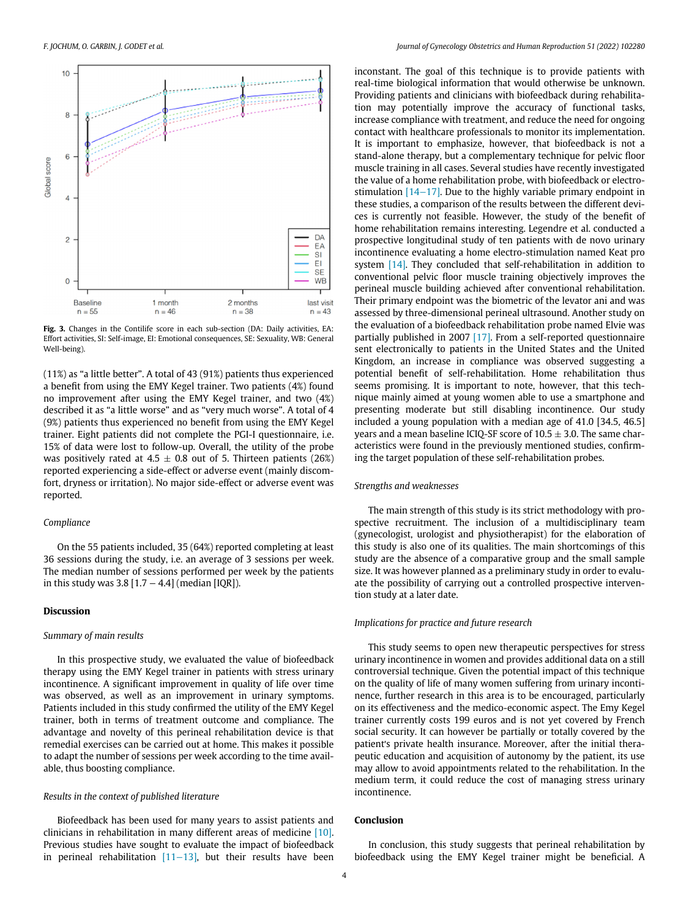<span id="page-3-0"></span>

Fig. 3. Changes in the Contilife score in each sub-section (DA: Daily activities, EA: Effort activities, SI: Self-image, EI: Emotional consequences, SE: Sexuality, WB: General Well-being).

(11%) as "a little better". A total of 43 (91%) patients thus experienced a benefit from using the EMY Kegel trainer. Two patients (4%) found no improvement after using the EMY Kegel trainer, and two (4%) described it as "a little worse" and as "very much worse". A total of 4 (9%) patients thus experienced no benefit from using the EMY Kegel trainer. Eight patients did not complete the PGI-I questionnaire, i.e. 15% of data were lost to follow-up. Overall, the utility of the probe was positively rated at  $4.5 \pm 0.8$  out of 5. Thirteen patients (26%) reported experiencing a side-effect or adverse event (mainly discomfort, dryness or irritation). No major side-effect or adverse event was reported.

# Compliance

On the 55 patients included, 35 (64%) reported completing at least 36 sessions during the study, i.e. an average of 3 sessions per week. The median number of sessions performed per week by the patients in this study was  $3.8$  [1.7 – 4.4] (median [IQR]).

#### Discussion

#### Summary of main results

In this prospective study, we evaluated the value of biofeedback therapy using the EMY Kegel trainer in patients with stress urinary incontinence. A significant improvement in quality of life over time was observed, as well as an improvement in urinary symptoms. Patients included in this study confirmed the utility of the EMY Kegel trainer, both in terms of treatment outcome and compliance. The advantage and novelty of this perineal rehabilitation device is that remedial exercises can be carried out at home. This makes it possible to adapt the number of sessions per week according to the time available, thus boosting compliance.

#### Results in the context of published literature

Biofeedback has been used for many years to assist patients and clinicians in rehabilitation in many different areas of medicine [\[10\].](#page-5-2) Previous studies have sought to evaluate the impact of biofeedback in perineal rehabilitation [\[11](#page-5-3)−13], but their results have been

inconstant. The goal of this technique is to provide patients with real-time biological information that would otherwise be unknown. Providing patients and clinicians with biofeedback during rehabilitation may potentially improve the accuracy of functional tasks, increase compliance with treatment, and reduce the need for ongoing contact with healthcare professionals to monitor its implementation. It is important to emphasize, however, that biofeedback is not a stand-alone therapy, but a complementary technique for pelvic floor muscle training in all cases. Several studies have recently investigated the value of a home rehabilitation probe, with biofeedback or electrostimulation [14−[17\].](#page-5-4) Due to the highly variable primary endpoint in these studies, a comparison of the results between the different devices is currently not feasible. However, the study of the benefit of home rehabilitation remains interesting. Legendre et al. conducted a prospective longitudinal study of ten patients with de novo urinary incontinence evaluating a home electro-stimulation named Keat pro system [\[14\].](#page-5-4) They concluded that self-rehabilitation in addition to conventional pelvic floor muscle training objectively improves the perineal muscle building achieved after conventional rehabilitation. Their primary endpoint was the biometric of the levator ani and was assessed by three-dimensional perineal ultrasound. Another study on the evaluation of a biofeedback rehabilitation probe named Elvie was partially published in 2007 [\[17\]](#page-5-5). From a self-reported questionnaire sent electronically to patients in the United States and the United Kingdom, an increase in compliance was observed suggesting a potential benefit of self-rehabilitation. Home rehabilitation thus seems promising. It is important to note, however, that this technique mainly aimed at young women able to use a smartphone and presenting moderate but still disabling incontinence. Our study included a young population with a median age of 41.0 [34.5, 46.5] years and a mean baseline ICIQ-SF score of  $10.5 \pm 3.0$ . The same characteristics were found in the previously mentioned studies, confirming the target population of these self-rehabilitation probes.

### Strengths and weaknesses

The main strength of this study is its strict methodology with prospective recruitment. The inclusion of a multidisciplinary team (gynecologist, urologist and physiotherapist) for the elaboration of this study is also one of its qualities. The main shortcomings of this study are the absence of a comparative group and the small sample size. It was however planned as a preliminary study in order to evaluate the possibility of carrying out a controlled prospective intervention study at a later date.

#### Implications for practice and future research

This study seems to open new therapeutic perspectives for stress urinary incontinence in women and provides additional data on a still controversial technique. Given the potential impact of this technique on the quality of life of many women suffering from urinary incontinence, further research in this area is to be encouraged, particularly on its effectiveness and the medico-economic aspect. The Emy Kegel trainer currently costs 199 euros and is not yet covered by French social security. It can however be partially or totally covered by the patient's private health insurance. Moreover, after the initial therapeutic education and acquisition of autonomy by the patient, its use may allow to avoid appointments related to the rehabilitation. In the medium term, it could reduce the cost of managing stress urinary incontinence.

# Conclusion

In conclusion, this study suggests that perineal rehabilitation by biofeedback using the EMY Kegel trainer might be beneficial. A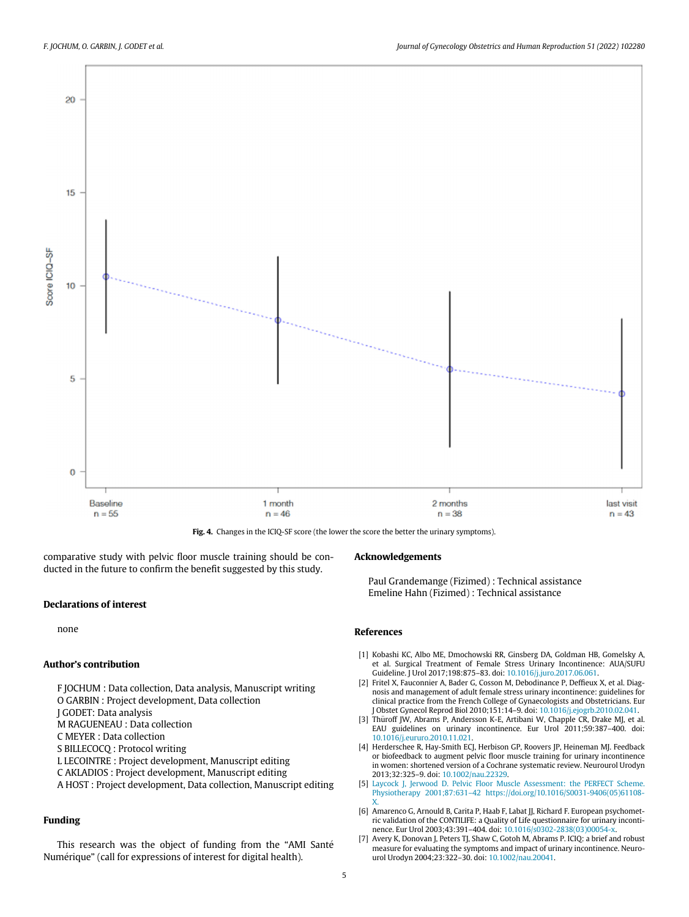<span id="page-4-6"></span>

Fig. 4. Changes in the ICIQ-SF score (the lower the score the better the urinary symptoms).

comparative study with pelvic floor muscle training should be conducted in the future to confirm the benefit suggested by this study.

### Declarations of interest

none

## <span id="page-4-1"></span><span id="page-4-0"></span>Author's contribution

F JOCHUM : Data collection, Data analysis, Manuscript writing O GARBIN : Project development, Data collection J GODET: Data analysis M RAGUENEAU : Data collection

C MEYER : Data collection

<span id="page-4-2"></span>S BILLECOCQ : Protocol writing

L LECOINTRE : Project development, Manuscript editing

C AKLADIOS : Project development, Manuscript editing

<span id="page-4-3"></span>A HOST : Project development, Data collection, Manuscript editing

# <span id="page-4-4"></span>Funding

<span id="page-4-5"></span>This research was the object of funding from the "AMI Santé Numérique" (call for expressions of interest for digital health).

#### Acknowledgements

Paul Grandemange (Fizimed) : Technical assistance Emeline Hahn (Fizimed) : Technical assistance

#### References

- [1] Kobashi KC, Albo ME, Dmochowski RR, Ginsberg DA, Goldman HB, Gomelsky A, et al. Surgical Treatment of Female Stress Urinary Incontinence: AUA/SUFU Guideline. J Urol 2017;198:875–83. doi: [10.1016/j.juro.2017.06.061.](https://doi.org/10.1016/j.juro.2017.06.061)
- [2] Fritel X, Fauconnier A, Bader G, Cosson M, Debodinance P, Deffieux X, et al. Diagnosis and management of adult female stress urinary incontinence: guidelines for clinical practice from the French College of Gynaecologists and Obstetricians. Eur J Obstet Gynecol Reprod Biol 2010;151:14–9. doi: [10.1016/j.ejogrb.2010.02.041.](https://doi.org/10.1016/j.ejogrb.2010.02.041)
- [3] Thüroff JW, Abrams P, Andersson K-E, Artibani W, Chapple CR, Drake MJ, et al. EAU guidelines on urinary incontinence. Eur Urol 2011;59:387–400. doi: [10.1016/j.eururo.2010.11.021.](https://doi.org/10.1016/j.eururo.2010.11.021)
- [4] Herderschee R, Hay-Smith ECJ, Herbison GP, Roovers JP, Heineman MJ. Feedback or biofeedback to augment pelvic floor muscle training for urinary incontinence in women: shortened version of a Cochrane systematic review. Neurourol Urodyn 2013;32:325–9. doi: [10.1002/nau.22329.](https://doi.org/10.1002/nau.22329)
- [5] [Laycock J, Jerwood D. Pelvic Floor Muscle Assessment: the PERFECT Scheme.](http://refhub.elsevier.com/S2468-7847(21)00217-8/sbref0005) Physiotherapy 2001;87:631–[42 https://doi.org/10.1016/S0031-9406\(05\)61108-](http://refhub.elsevier.com/S2468-7847(21)00217-8/sbref0005)
- [X.](http://refhub.elsevier.com/S2468-7847(21)00217-8/sbref0005) [6] Amarenco G, Arnould B, Carita P, Haab F, Labat JJ, Richard F. European psychometric validation of the CONTILIFE: a Quality of Life questionnaire for urinary incontinence. Eur Urol 2003;43:391–404. doi: [10.1016/s0302-2838\(03\)00054-x.](https://doi.org/10.1016/s0302-2838(03)00054-x)
- [7] Avery K, Donovan J, Peters TJ, Shaw C, Gotoh M, Abrams P. ICIQ: a brief and robust measure for evaluating the symptoms and impact of urinary incontinence. Neurourol Urodyn 2004;23:322–30. doi: [10.1002/nau.20041.](https://doi.org/10.1002/nau.20041)